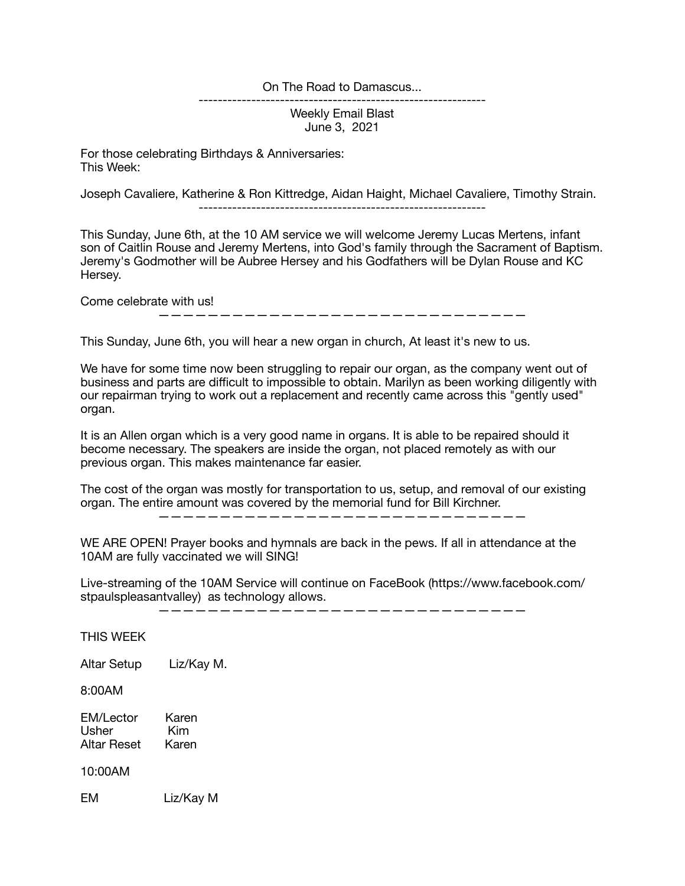On The Road to Damascus...

------------------------------------------------------------

Weekly Email Blast June 3, 2021

For those celebrating Birthdays & Anniversaries: This Week:

Joseph Cavaliere, Katherine & Ron Kittredge, Aidan Haight, Michael Cavaliere, Timothy Strain.

------------------------------------------------------------

This Sunday, June 6th, at the 10 AM service we will welcome Jeremy Lucas Mertens, infant son of Caitlin Rouse and Jeremy Mertens, into God's family through the Sacrament of Baptism. Jeremy's Godmother will be Aubree Hersey and his Godfathers will be Dylan Rouse and KC Hersey.

Come celebrate with us!

——————————————————————————————

This Sunday, June 6th, you will hear a new organ in church, At least it's new to us.

We have for some time now been struggling to repair our organ, as the company went out of business and parts are difficult to impossible to obtain. Marilyn as been working diligently with our repairman trying to work out a replacement and recently came across this "gently used" organ.

It is an Allen organ which is a very good name in organs. It is able to be repaired should it become necessary. The speakers are inside the organ, not placed remotely as with our previous organ. This makes maintenance far easier.

The cost of the organ was mostly for transportation to us, setup, and removal of our existing organ. The entire amount was covered by the memorial fund for Bill Kirchner.

——————————————————————————————

WE ARE OPEN! Prayer books and hymnals are back in the pews. If all in attendance at the 10AM are fully vaccinated we will SING!

Live-streaming of the 10AM Service will continue on FaceBook (https://www.facebook.com/ stpaulspleasantvalley) as technology allows.

——————————————————————————————

THIS WEEK

Altar Setup Liz/Kay M.

8:00AM

EM/Lector Karen<br>Usher Kim Usher Kim<br>Altar Reset Karen Altar Reset

10:00AM

EM Liz/Kay M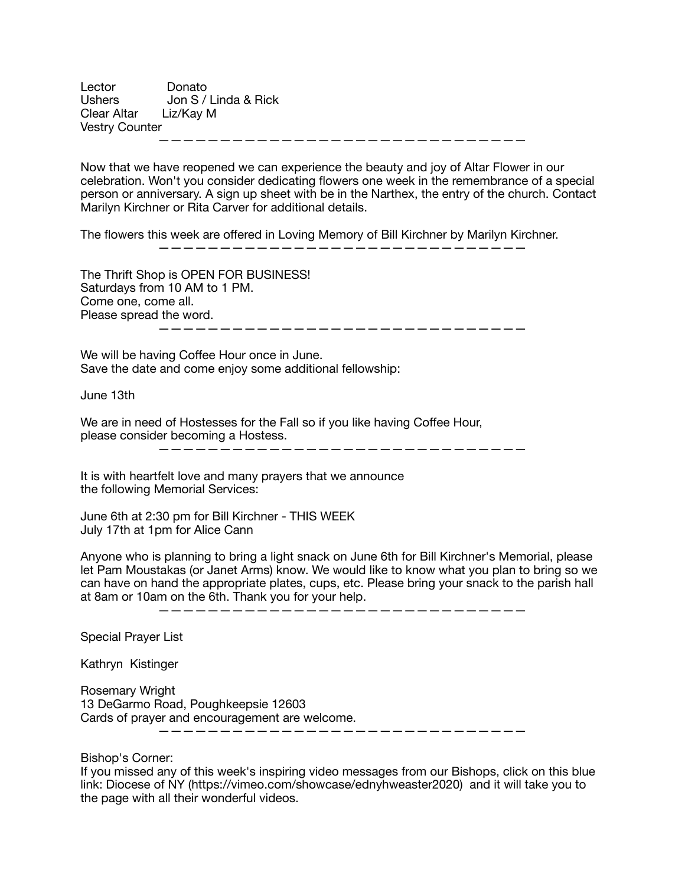Lector Donato<br>Ushers Jon S / Jon S / Linda & Rick Clear Altar Liz/Kay M Vestry Counter

——————————————————————————————

Now that we have reopened we can experience the beauty and joy of Altar Flower in our celebration. Won't you consider dedicating flowers one week in the remembrance of a special person or anniversary. A sign up sheet with be in the Narthex, the entry of the church. Contact Marilyn Kirchner or Rita Carver for additional details.

The flowers this week are offered in Loving Memory of Bill Kirchner by Marilyn Kirchner.  $\overline{\phantom{a}}$  , and an expected by the set of  $\overline{\phantom{a}}$  , and  $\overline{\phantom{a}}$  , and  $\overline{\phantom{a}}$  , and  $\overline{\phantom{a}}$  , and  $\overline{\phantom{a}}$ 

The Thrift Shop is OPEN FOR BUSINESS! Saturdays from 10 AM to 1 PM. Come one, come all. Please spread the word.

——————————————————————————————

We will be having Coffee Hour once in June. Save the date and come enjoy some additional fellowship:

June 13th

We are in need of Hostesses for the Fall so if you like having Coffee Hour, please consider becoming a Hostess.

——————————————————————————————

It is with heartfelt love and many prayers that we announce the following Memorial Services:

June 6th at 2:30 pm for Bill Kirchner - THIS WEEK July 17th at 1pm for Alice Cann

Anyone who is planning to bring a light snack on June 6th for Bill Kirchner's Memorial, please let Pam Moustakas (or Janet Arms) know. We would like to know what you plan to bring so we can have on hand the appropriate plates, cups, etc. Please bring your snack to the parish hall at 8am or 10am on the 6th. Thank you for your help.

——————————————————————————————

Special Prayer List

Kathryn Kistinger

Rosemary Wright 13 DeGarmo Road, Poughkeepsie 12603 Cards of prayer and encouragement are welcome. ——————————————————————————————

Bishop's Corner:

If you missed any of this week's inspiring video messages from our Bishops, click on this blue link: Diocese of NY (https://vimeo.com/showcase/ednyhweaster2020) and it will take you to the page with all their wonderful videos.